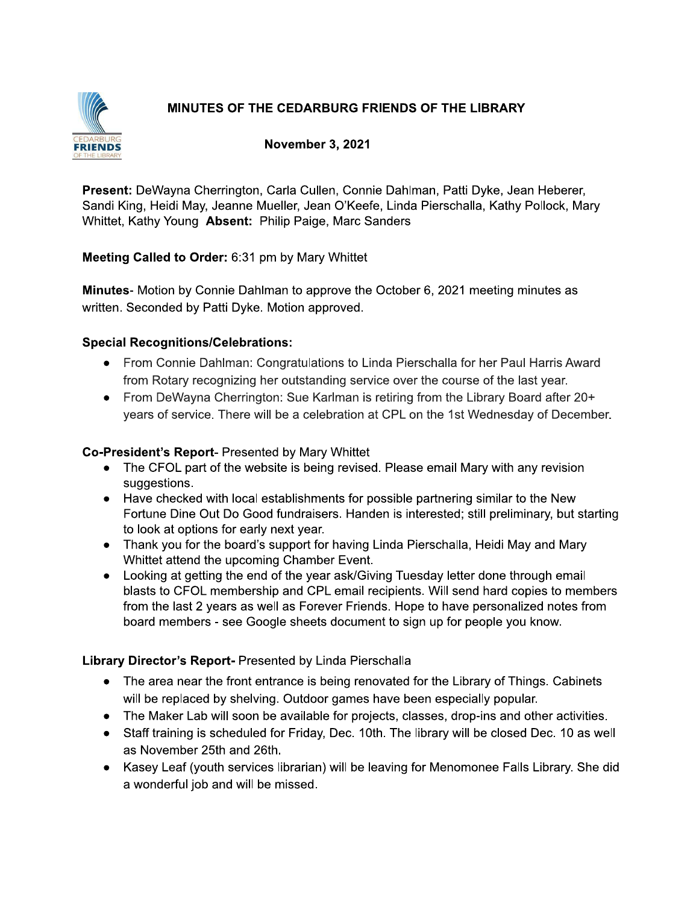# MINUTES OF THE CEDARBURG FRIENDS OF THE LIBRARY



#### **November 3, 2021**

Present: DeWayna Cherrington, Carla Cullen, Connie Dahlman, Patti Dyke, Jean Heberer, Sandi King, Heidi May, Jeanne Mueller, Jean O'Keefe, Linda Pierschalla, Kathy Pollock, Mary Whittet, Kathy Young Absent: Philip Paige, Marc Sanders

#### Meeting Called to Order: 6:31 pm by Mary Whittet

Minutes- Motion by Connie Dahlman to approve the October 6, 2021 meeting minutes as written. Seconded by Patti Dyke. Motion approved.

#### **Special Recognitions/Celebrations:**

- From Connie Dahlman: Congratulations to Linda Pierschalla for her Paul Harris Award from Rotary recognizing her outstanding service over the course of the last year.
- From DeWayna Cherrington: Sue Karlman is retiring from the Library Board after 20+ years of service. There will be a celebration at CPL on the 1st Wednesday of December.

#### Co-President's Report- Presented by Mary Whittet

- The CFOL part of the website is being revised. Please email Mary with any revision suggestions.
- Have checked with local establishments for possible partnering similar to the New Fortune Dine Out Do Good fundraisers. Handen is interested; still preliminary, but starting to look at options for early next year.
- Thank you for the board's support for having Linda Pierschalla, Heidi May and Mary Whittet attend the upcoming Chamber Event.
- Looking at getting the end of the year ask/Giving Tuesday letter done through email blasts to CFOL membership and CPL email recipients. Will send hard copies to members from the last 2 years as well as Forever Friends. Hope to have personalized notes from board members - see Google sheets document to sign up for people you know.

### Library Director's Report- Presented by Linda Pierschalla

- The area near the front entrance is being renovated for the Library of Things. Cabinets will be replaced by shelving. Outdoor games have been especially popular.
- The Maker Lab will soon be available for projects, classes, drop-ins and other activities.
- Staff training is scheduled for Friday, Dec. 10th. The library will be closed Dec. 10 as well as November 25th and 26th.
- Kasey Leaf (youth services librarian) will be leaving for Menomonee Falls Library. She did a wonderful job and will be missed.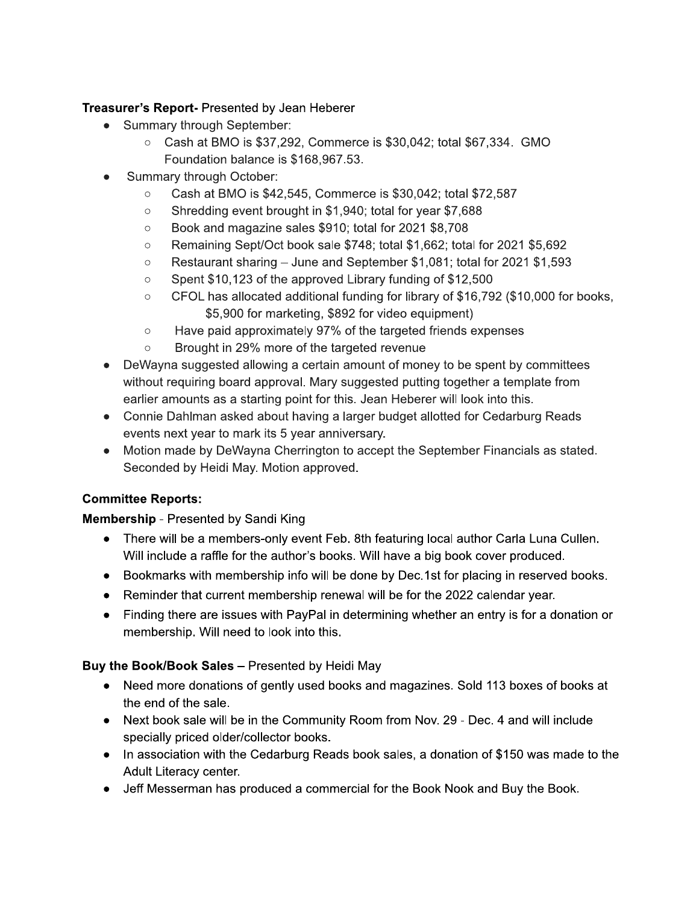## Treasurer's Report- Presented by Jean Heberer

- Summary through September:
	- $\circ$  Cash at BMO is \$37,292, Commerce is \$30,042; total \$67,334. GMO Foundation balance is \$168,967.53.
- Summary through October:
	- $\circ$ Cash at BMO is \$42,545, Commerce is \$30,042; total \$72,587
	- Shredding event brought in \$1,940; total for year \$7,688  $\circ$
	- Book and magazine sales \$910; total for 2021 \$8,708  $\circ$
	- Remaining Sept/Oct book sale \$748; total \$1,662; total for 2021 \$5,692  $\circ$
	- $\circ$ Restaurant sharing – June and September \$1,081; total for 2021 \$1,593
	- Spent \$10,123 of the approved Library funding of \$12,500  $\circ$
	- CFOL has allocated additional funding for library of \$16,792 (\$10,000 for books,  $\circ$ \$5,900 for marketing, \$892 for video equipment)
	- Have paid approximately 97% of the targeted friends expenses  $\circ$
	- Brought in 29% more of the targeted revenue  $\circ$
- DeWayna suggested allowing a certain amount of money to be spent by committees without requiring board approval. Mary suggested putting together a template from earlier amounts as a starting point for this. Jean Heberer will look into this.
- Connie Dahlman asked about having a larger budget allotted for Cedarburg Reads events next year to mark its 5 year anniversary.
- Motion made by DeWayna Cherrington to accept the September Financials as stated. Seconded by Heidi May. Motion approved.

# **Committee Reports:**

### **Membership** - Presented by Sandi King

- There will be a members-only event Feb. 8th featuring local author Carla Luna Cullen. Will include a raffle for the author's books. Will have a big book cover produced.
- Bookmarks with membership info will be done by Dec.1st for placing in reserved books.
- Reminder that current membership renewal will be for the 2022 calendar year.
- Finding there are issues with PayPal in determining whether an entry is for a donation or membership. Will need to look into this.

### Buy the Book/Book Sales - Presented by Heidi May

- Need more donations of gently used books and magazines. Sold 113 boxes of books at the end of the sale.
- Next book sale will be in the Community Room from Nov. 29 Dec. 4 and will include specially priced older/collector books.
- In association with the Cedarburg Reads book sales, a donation of \$150 was made to the Adult Literacy center.
- Jeff Messerman has produced a commercial for the Book Nook and Buy the Book.